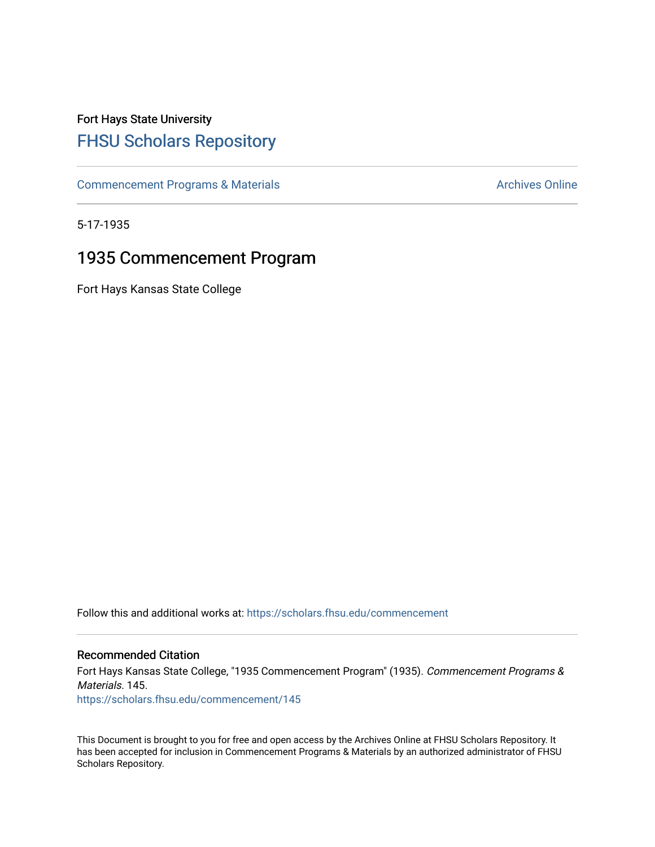# Fort Hays State University [FHSU Scholars Repository](https://scholars.fhsu.edu/)

[Commencement Programs & Materials](https://scholars.fhsu.edu/commencement) **Archives Online** Archives Online

5-17-1935

## 1935 Commencement Program

Fort Hays Kansas State College

Follow this and additional works at: [https://scholars.fhsu.edu/commencement](https://scholars.fhsu.edu/commencement?utm_source=scholars.fhsu.edu%2Fcommencement%2F145&utm_medium=PDF&utm_campaign=PDFCoverPages)

## Recommended Citation

Fort Hays Kansas State College, "1935 Commencement Program" (1935). Commencement Programs & Materials. 145.

[https://scholars.fhsu.edu/commencement/145](https://scholars.fhsu.edu/commencement/145?utm_source=scholars.fhsu.edu%2Fcommencement%2F145&utm_medium=PDF&utm_campaign=PDFCoverPages)

This Document is brought to you for free and open access by the Archives Online at FHSU Scholars Repository. It has been accepted for inclusion in Commencement Programs & Materials by an authorized administrator of FHSU Scholars Repository.